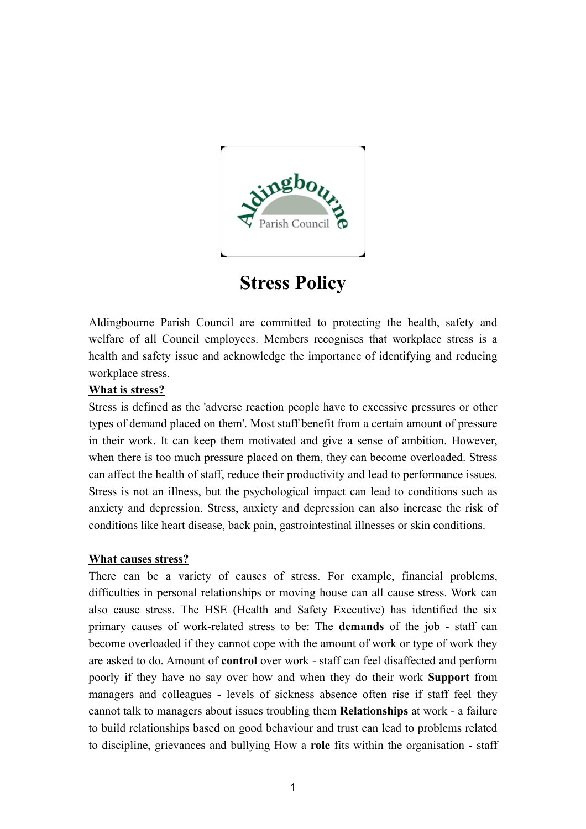

# **Stress Policy**

Aldingbourne Parish Council are committed to protecting the health, safety and welfare of all Council employees. Members recognises that workplace stress is a health and safety issue and acknowledge the importance of identifying and reducing workplace stress.

## **What is stress?**

Stress is defined as the 'adverse reaction people have to excessive pressures or other types of demand placed on them'. Most staff benefit from a certain amount of pressure in their work. It can keep them motivated and give a sense of ambition. However, when there is too much pressure placed on them, they can become overloaded. Stress can affect the health of staff, reduce their productivity and lead to performance issues. Stress is not an illness, but the psychological impact can lead to conditions such as anxiety and depression. Stress, anxiety and depression can also increase the risk of conditions like heart disease, back pain, gastrointestinal illnesses or skin conditions.

### **What causes stress?**

There can be a variety of causes of stress. For example, financial problems, difficulties in personal relationships or moving house can all cause stress. Work can also cause stress. The HSE (Health and Safety Executive) has identified the six primary causes of work-related stress to be: The **demands** of the job - staff can become overloaded if they cannot cope with the amount of work or type of work they are asked to do. Amount of **control** over work - staff can feel disaffected and perform poorly if they have no say over how and when they do their work **Support** from managers and colleagues - levels of sickness absence often rise if staff feel they cannot talk to managers about issues troubling them **Relationships** at work - a failure to build relationships based on good behaviour and trust can lead to problems related to discipline, grievances and bullying How a **role** fits within the organisation - staff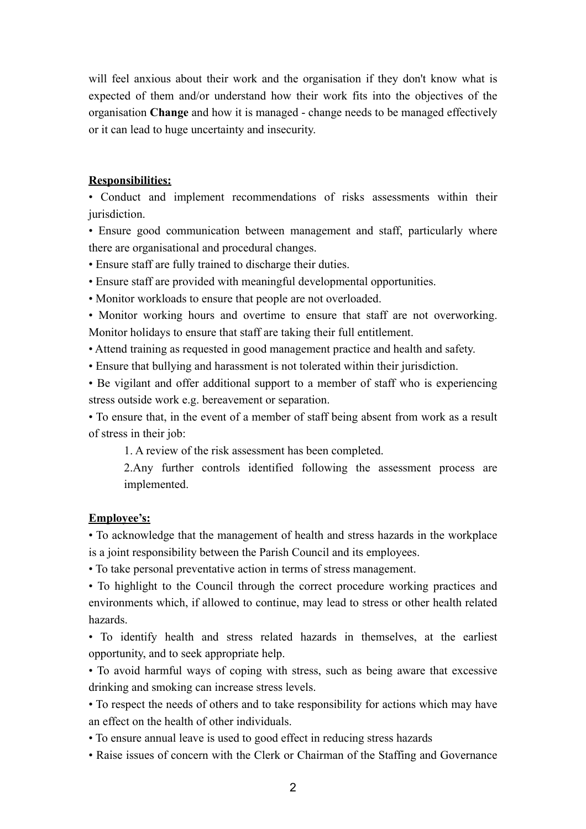will feel anxious about their work and the organisation if they don't know what is expected of them and/or understand how their work fits into the objectives of the organisation **Change** and how it is managed - change needs to be managed effectively or it can lead to huge uncertainty and insecurity.

#### **Responsibilities:**

• Conduct and implement recommendations of risks assessments within their jurisdiction.

• Ensure good communication between management and staff, particularly where there are organisational and procedural changes.

- Ensure staff are fully trained to discharge their duties.
- Ensure staff are provided with meaningful developmental opportunities.
- Monitor workloads to ensure that people are not overloaded.

• Monitor working hours and overtime to ensure that staff are not overworking. Monitor holidays to ensure that staff are taking their full entitlement.

- Attend training as requested in good management practice and health and safety.
- Ensure that bullying and harassment is not tolerated within their jurisdiction.

• Be vigilant and offer additional support to a member of staff who is experiencing stress outside work e.g. bereavement or separation.

• To ensure that, in the event of a member of staff being absent from work as a result of stress in their job:

1. A review of the risk assessment has been completed.

2.Any further controls identified following the assessment process are implemented.

#### **Employee's:**

• To acknowledge that the management of health and stress hazards in the workplace is a joint responsibility between the Parish Council and its employees.

• To take personal preventative action in terms of stress management.

• To highlight to the Council through the correct procedure working practices and environments which, if allowed to continue, may lead to stress or other health related hazards.

• To identify health and stress related hazards in themselves, at the earliest opportunity, and to seek appropriate help.

• To avoid harmful ways of coping with stress, such as being aware that excessive drinking and smoking can increase stress levels.

• To respect the needs of others and to take responsibility for actions which may have an effect on the health of other individuals.

• To ensure annual leave is used to good effect in reducing stress hazards

• Raise issues of concern with the Clerk or Chairman of the Staffing and Governance